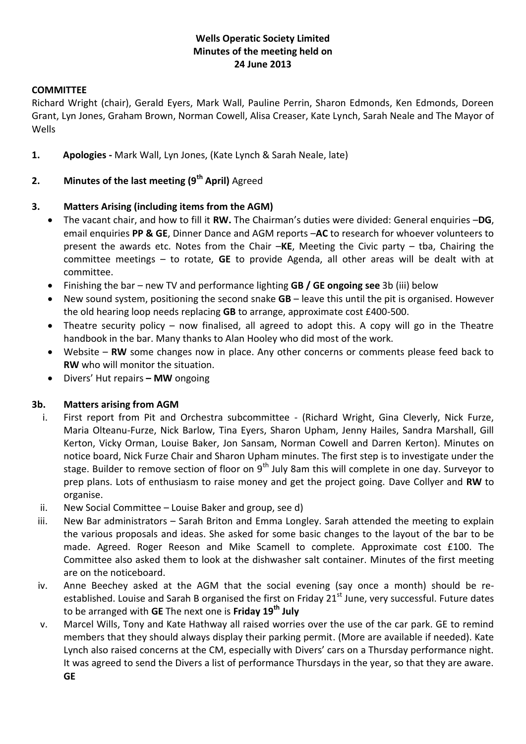# **Wells Operatic Society Limited Minutes of the meeting held on 24 June 2013**

### **COMMITTEE**

Richard Wright (chair), Gerald Eyers, Mark Wall, Pauline Perrin, Sharon Edmonds, Ken Edmonds, Doreen Grant, Lyn Jones, Graham Brown, Norman Cowell, Alisa Creaser, Kate Lynch, Sarah Neale and The Mayor of Wells

**1. Apologies -** Mark Wall, Lyn Jones, (Kate Lynch & Sarah Neale, late)

### **2. Minutes of the last meeting (9th April)** Agreed

#### **3. Matters Arising (including items from the AGM)**

- The vacant chair, and how to fill it **RW.** The Chairman's duties were divided: General enquiries –**DG**, email enquiries **PP & GE**, Dinner Dance and AGM reports –**AC** to research for whoever volunteers to present the awards etc. Notes from the Chair –**KE**, Meeting the Civic party – tba, Chairing the committee meetings – to rotate, **GE** to provide Agenda, all other areas will be dealt with at committee.
- Finishing the bar new TV and performance lighting **GB / GE ongoing see** 3b (iii) below
- New sound system, positioning the second snake **GB** leave this until the pit is organised. However the old hearing loop needs replacing **GB** to arrange, approximate cost £400-500.
- Theatre security policy now finalised, all agreed to adopt this. A copy will go in the Theatre handbook in the bar. Many thanks to Alan Hooley who did most of the work.
- Website **RW** some changes now in place. Any other concerns or comments please feed back to **RW** who will monitor the situation.
- Divers' Hut repairs **– MW** ongoing

#### **3b. Matters arising from AGM**

- i. First report from Pit and Orchestra subcommittee (Richard Wright, Gina Cleverly, Nick Furze, Maria Olteanu-Furze, Nick Barlow, Tina Eyers, Sharon Upham, Jenny Hailes, Sandra Marshall, Gill Kerton, Vicky Orman, Louise Baker, Jon Sansam, Norman Cowell and Darren Kerton). Minutes on notice board, Nick Furze Chair and Sharon Upham minutes. The first step is to investigate under the stage. Builder to remove section of floor on  $9<sup>th</sup>$  July 8am this will complete in one day. Surveyor to prep plans. Lots of enthusiasm to raise money and get the project going. Dave Collyer and **RW** to organise.
- ii. New Social Committee Louise Baker and group, see d)
- iii. New Bar administrators Sarah Briton and Emma Longley. Sarah attended the meeting to explain the various proposals and ideas. She asked for some basic changes to the layout of the bar to be made. Agreed. Roger Reeson and Mike Scamell to complete. Approximate cost £100. The Committee also asked them to look at the dishwasher salt container. Minutes of the first meeting are on the noticeboard.
- iv. Anne Beechey asked at the AGM that the social evening (say once a month) should be reestablished. Louise and Sarah B organised the first on Friday 21<sup>st</sup> June, very successful. Future dates to be arranged with **GE** The next one is **Friday 19th July**
- v. Marcel Wills, Tony and Kate Hathway all raised worries over the use of the car park. GE to remind members that they should always display their parking permit. (More are available if needed). Kate Lynch also raised concerns at the CM, especially with Divers' cars on a Thursday performance night. It was agreed to send the Divers a list of performance Thursdays in the year, so that they are aware. **GE**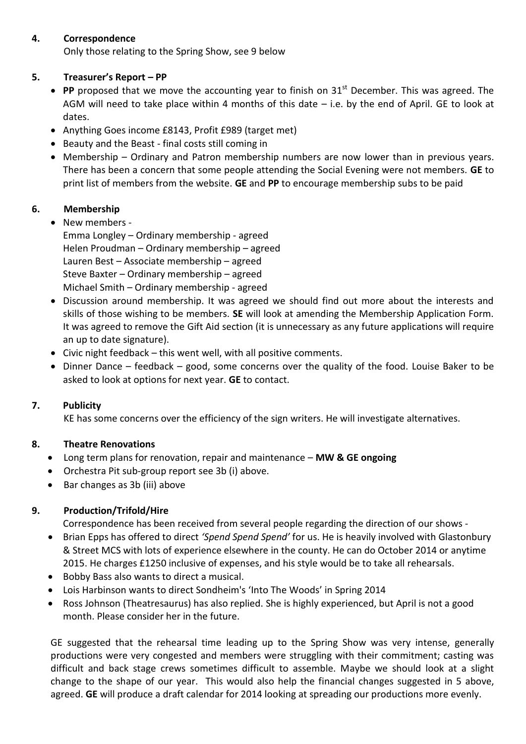### **4. Correspondence**

Only those relating to the Spring Show, see 9 below

# **5. Treasurer's Report – PP**

- PP proposed that we move the accounting year to finish on 31<sup>st</sup> December. This was agreed. The AGM will need to take place within 4 months of this date – i.e. by the end of April. GE to look at dates.
- Anything Goes income £8143, Profit £989 (target met)
- Beauty and the Beast final costs still coming in
- Membership Ordinary and Patron membership numbers are now lower than in previous years. There has been a concern that some people attending the Social Evening were not members. **GE** to print list of members from the website. **GE** and **PP** to encourage membership subs to be paid

# **6. Membership**

• New members -

Emma Longley – Ordinary membership - agreed Helen Proudman – Ordinary membership – agreed Lauren Best – Associate membership – agreed Steve Baxter – Ordinary membership – agreed Michael Smith – Ordinary membership - agreed

- Discussion around membership. It was agreed we should find out more about the interests and skills of those wishing to be members. **SE** will look at amending the Membership Application Form. It was agreed to remove the Gift Aid section (it is unnecessary as any future applications will require an up to date signature).
- Civic night feedback this went well, with all positive comments.
- Dinner Dance feedback good, some concerns over the quality of the food. Louise Baker to be asked to look at options for next year. **GE** to contact.

# **7. Publicity**

KE has some concerns over the efficiency of the sign writers. He will investigate alternatives.

# **8. Theatre Renovations**

- Long term plans for renovation, repair and maintenance **MW & GE ongoing**
- Orchestra Pit sub-group report see 3b (i) above.
- Bar changes as 3b (iii) above

# **9. Production/Trifold/Hire**

Correspondence has been received from several people regarding the direction of our shows -

- Brian Epps has offered to direct *'Spend Spend Spend'* for us. He is heavily involved with Glastonbury & Street MCS with lots of experience elsewhere in the county. He can do October 2014 or anytime 2015. He charges £1250 inclusive of expenses, and his style would be to take all rehearsals.
- Bobby Bass also wants to direct a musical.
- Lois Harbinson wants to direct Sondheim's 'Into The Woods' in Spring 2014
- Ross Johnson (Theatresaurus) has also replied. She is highly experienced, but April is not a good month. Please consider her in the future.

GE suggested that the rehearsal time leading up to the Spring Show was very intense, generally productions were very congested and members were struggling with their commitment; casting was difficult and back stage crews sometimes difficult to assemble. Maybe we should look at a slight change to the shape of our year. This would also help the financial changes suggested in 5 above, agreed. **GE** will produce a draft calendar for 2014 looking at spreading our productions more evenly.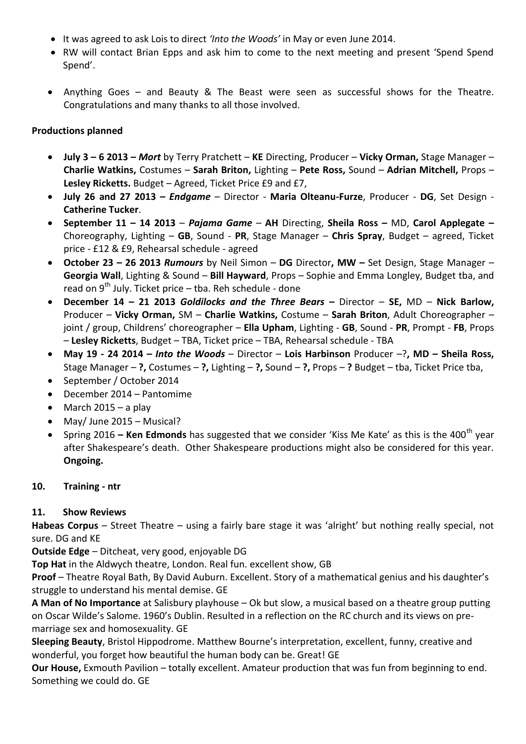- It was agreed to ask Lois to direct *'Into the Woods'* in May or even June 2014.
- RW will contact Brian Epps and ask him to come to the next meeting and present 'Spend Spend Spend'.
- Anything Goes and Beauty & The Beast were seen as successful shows for the Theatre. Congratulations and many thanks to all those involved.

### **Productions planned**

- **July 3 – 6 2013 –** *Mort* by Terry Pratchett **KE** Directing, Producer **Vicky Orman,** Stage Manager **Charlie Watkins,** Costumes – **Sarah Briton,** Lighting – **Pete Ross,** Sound – **Adrian Mitchell,** Props – **Lesley Ricketts.** Budget – Agreed, Ticket Price £9 and £7,
- **July 26 and 27 2013 –** *Endgame* Director **Maria Olteanu-Furze**, Producer **DG**, Set Design **Catherine Tucker**.
- **September 11 – 14 2013**  *Pajama Game* **AH** Directing, **Sheila Ross –** MD, **Carol Applegate –** Choreography, Lighting – **GB**, Sound - **PR**, Stage Manager – **Chris Spray**, Budget – agreed, Ticket price - £12 & £9, Rehearsal schedule - agreed
- **October 23 – 26 2013** *Rumours* by Neil Simon **DG** Director**, MW –** Set Design, Stage Manager **Georgia Wall**, Lighting & Sound – **Bill Hayward**, Props – Sophie and Emma Longley, Budget tba, and read on  $9^{th}$  July. Ticket price – tba. Reh schedule - done
- **December 14 – 21 2013** *Goldilocks and the Three Bears* **–** Director **SE,** MD **Nick Barlow,**  Producer – **Vicky Orman,** SM – **Charlie Watkins,** Costume – **Sarah Briton**, Adult Choreographer – joint / group, Childrens' choreographer – **Ella Upham**, Lighting - **GB**, Sound - **PR**, Prompt - **FB**, Props – **Lesley Ricketts**, Budget – TBA, Ticket price – TBA, Rehearsal schedule - TBA
- **May 19 - 24 2014 –** *Into the Woods* Director **Lois Harbinson** Producer –?**, MD – Sheila Ross,**  Stage Manager – **?,** Costumes – **?,** Lighting – **?,** Sound – **?,** Props – **?** Budget – tba, Ticket Price tba,
- September / October 2014
- December 2014 Pantomime
- March  $2015 a$  play
- May/ June 2015 Musical?
- Spring 2016 **Ken Edmonds** has suggested that we consider 'Kiss Me Kate' as this is the 400<sup>th</sup> year after Shakespeare's death. Other Shakespeare productions might also be considered for this year. **Ongoing.**

### **10. Training - ntr**

### **11. Show Reviews**

**Habeas Corpus** – Street Theatre – using a fairly bare stage it was 'alright' but nothing really special, not sure. DG and KE

**Outside Edge** – Ditcheat, very good, enjoyable DG

**Top Hat** in the Aldwych theatre, London. Real fun. excellent show, GB

**Proof** – Theatre Royal Bath, By David Auburn. Excellent. Story of a mathematical genius and his daughter's struggle to understand his mental demise. GE

**A Man of No Importance** at Salisbury playhouse – Ok but slow, a musical based on a theatre group putting on Oscar Wilde's Salome. 1960's Dublin. Resulted in a reflection on the RC church and its views on premarriage sex and homosexuality. GE

**Sleeping Beauty**, Bristol Hippodrome. Matthew Bourne's interpretation, excellent, funny, creative and wonderful, you forget how beautiful the human body can be. Great! GE

**Our House,** Exmouth Pavilion – totally excellent. Amateur production that was fun from beginning to end. Something we could do. GE